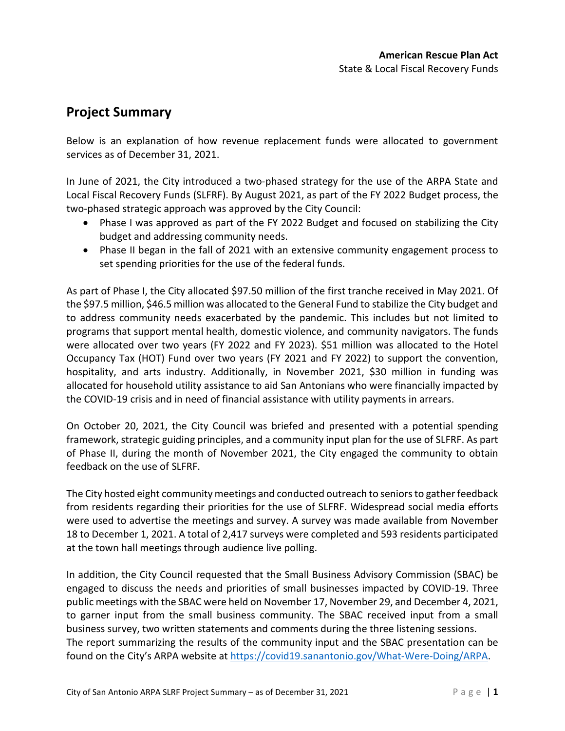# **Project Summary**

Below is an explanation of how revenue replacement funds were allocated to government services as of December 31, 2021.

In June of 2021, the City introduced a two-phased strategy for the use of the ARPA State and Local Fiscal Recovery Funds (SLFRF). By August 2021, as part of the FY 2022 Budget process, the two-phased strategic approach was approved by the City Council:

- Phase I was approved as part of the FY 2022 Budget and focused on stabilizing the City budget and addressing community needs.
- Phase II began in the fall of 2021 with an extensive community engagement process to set spending priorities for the use of the federal funds.

As part of Phase I, the City allocated \$97.50 million of the first tranche received in May 2021. Of the \$97.5 million, \$46.5 million was allocated to the General Fund to stabilize the City budget and to address community needs exacerbated by the pandemic. This includes but not limited to programs that support mental health, domestic violence, and community navigators. The funds were allocated over two years (FY 2022 and FY 2023). \$51 million was allocated to the Hotel Occupancy Tax (HOT) Fund over two years (FY 2021 and FY 2022) to support the convention, hospitality, and arts industry. Additionally, in November 2021, \$30 million in funding was allocated for household utility assistance to aid San Antonians who were financially impacted by the COVID-19 crisis and in need of financial assistance with utility payments in arrears.

On October 20, 2021, the City Council was briefed and presented with a potential spending framework, strategic guiding principles, and a community input plan for the use of SLFRF. As part of Phase II, during the month of November 2021, the City engaged the community to obtain feedback on the use of SLFRF.

The City hosted eight community meetings and conducted outreach to seniors to gather feedback from residents regarding their priorities for the use of SLFRF. Widespread social media efforts were used to advertise the meetings and survey. A survey was made available from November 18 to December 1, 2021. A total of 2,417 surveys were completed and 593 residents participated at the town hall meetings through audience live polling.

In addition, the City Council requested that the Small Business Advisory Commission (SBAC) be engaged to discuss the needs and priorities of small businesses impacted by COVID-19. Three public meetings with the SBAC were held on November 17, November 29, and December 4, 2021, to garner input from the small business community. The SBAC received input from a small business survey, two written statements and comments during the three listening sessions. The report summarizing the results of the community input and the SBAC presentation can be found on the City's ARPA website at [https://covid19.sanantonio.gov/What-Were-Doing/ARPA.](https://covid19.sanantonio.gov/What-Were-Doing/ARPA)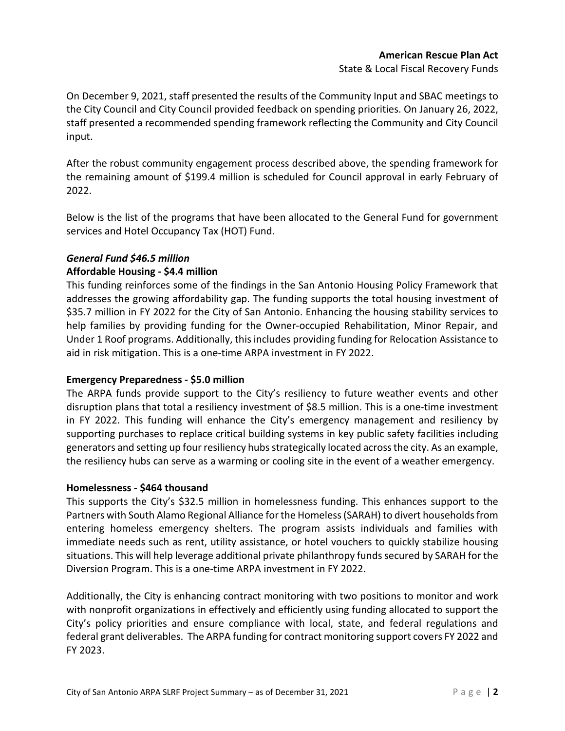## **American Rescue Plan Act** State & Local Fiscal Recovery Funds

On December 9, 2021, staff presented the results of the Community Input and SBAC meetings to the City Council and City Council provided feedback on spending priorities. On January 26, 2022, staff presented a recommended spending framework reflecting the Community and City Council input.

After the robust community engagement process described above, the spending framework for the remaining amount of \$199.4 million is scheduled for Council approval in early February of 2022.

Below is the list of the programs that have been allocated to the General Fund for government services and Hotel Occupancy Tax (HOT) Fund.

# *General Fund \$46.5 million*

# **Affordable Housing - \$4.4 million**

This funding reinforces some of the findings in the San Antonio Housing Policy Framework that addresses the growing affordability gap. The funding supports the total housing investment of \$35.7 million in FY 2022 for the City of San Antonio. Enhancing the housing stability services to help families by providing funding for the Owner-occupied Rehabilitation, Minor Repair, and Under 1 Roof programs. Additionally, this includes providing funding for Relocation Assistance to aid in risk mitigation. This is a one-time ARPA investment in FY 2022.

# **Emergency Preparedness - \$5.0 million**

The ARPA funds provide support to the City's resiliency to future weather events and other disruption plans that total a resiliency investment of \$8.5 million. This is a one-time investment in FY 2022. This funding will enhance the City's emergency management and resiliency by supporting purchases to replace critical building systems in key public safety facilities including generators and setting up four resiliency hubs strategically located across the city. As an example, the resiliency hubs can serve as a warming or cooling site in the event of a weather emergency.

# **Homelessness - \$464 thousand**

This supports the City's \$32.5 million in homelessness funding. This enhances support to the Partners with South Alamo Regional Alliance for the Homeless (SARAH) to divert households from entering homeless emergency shelters. The program assists individuals and families with immediate needs such as rent, utility assistance, or hotel vouchers to quickly stabilize housing situations. This will help leverage additional private philanthropy funds secured by SARAH for the Diversion Program. This is a one-time ARPA investment in FY 2022.

Additionally, the City is enhancing contract monitoring with two positions to monitor and work with nonprofit organizations in effectively and efficiently using funding allocated to support the City's policy priorities and ensure compliance with local, state, and federal regulations and federal grant deliverables. The ARPA funding for contract monitoring support covers FY 2022 and FY 2023.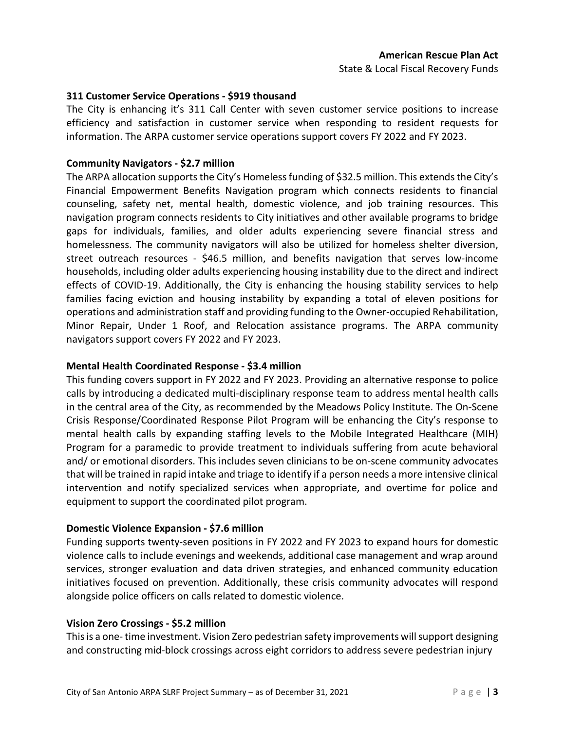## **311 Customer Service Operations - \$919 thousand**

The City is enhancing it's 311 Call Center with seven customer service positions to increase efficiency and satisfaction in customer service when responding to resident requests for information. The ARPA customer service operations support covers FY 2022 and FY 2023.

# **Community Navigators - \$2.7 million**

The ARPA allocation supports the City's Homeless funding of \$32.5 million. This extendsthe City's Financial Empowerment Benefits Navigation program which connects residents to financial counseling, safety net, mental health, domestic violence, and job training resources. This navigation program connects residents to City initiatives and other available programs to bridge gaps for individuals, families, and older adults experiencing severe financial stress and homelessness. The community navigators will also be utilized for homeless shelter diversion, street outreach resources - \$46.5 million, and benefits navigation that serves low-income households, including older adults experiencing housing instability due to the direct and indirect effects of COVID-19. Additionally, the City is enhancing the housing stability services to help families facing eviction and housing instability by expanding a total of eleven positions for operations and administration staff and providing funding to the Owner-occupied Rehabilitation, Minor Repair, Under 1 Roof, and Relocation assistance programs. The ARPA community navigators support covers FY 2022 and FY 2023.

#### **Mental Health Coordinated Response - \$3.4 million**

This funding covers support in FY 2022 and FY 2023. Providing an alternative response to police calls by introducing a dedicated multi-disciplinary response team to address mental health calls in the central area of the City, as recommended by the Meadows Policy Institute. The On-Scene Crisis Response/Coordinated Response Pilot Program will be enhancing the City's response to mental health calls by expanding staffing levels to the Mobile Integrated Healthcare (MIH) Program for a paramedic to provide treatment to individuals suffering from acute behavioral and/ or emotional disorders. This includes seven clinicians to be on-scene community advocates that will be trained in rapid intake and triage to identify if a person needs a more intensive clinical intervention and notify specialized services when appropriate, and overtime for police and equipment to support the coordinated pilot program.

#### **Domestic Violence Expansion - \$7.6 million**

Funding supports twenty-seven positions in FY 2022 and FY 2023 to expand hours for domestic violence calls to include evenings and weekends, additional case management and wrap around services, stronger evaluation and data driven strategies, and enhanced community education initiatives focused on prevention. Additionally, these crisis community advocates will respond alongside police officers on calls related to domestic violence.

#### **Vision Zero Crossings - \$5.2 million**

Thisis a one-time investment. Vision Zero pedestrian safety improvements will support designing and constructing mid-block crossings across eight corridors to address severe pedestrian injury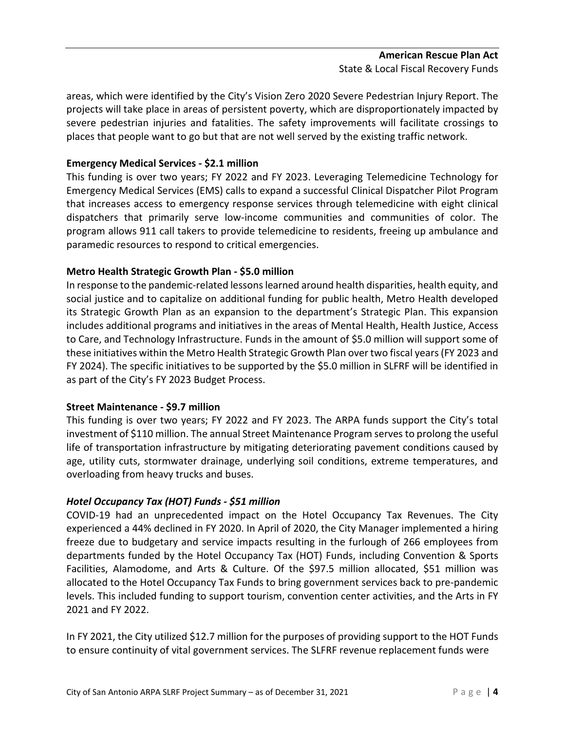## **American Rescue Plan Act** State & Local Fiscal Recovery Funds

areas, which were identified by the City's Vision Zero 2020 Severe Pedestrian Injury Report. The projects will take place in areas of persistent poverty, which are disproportionately impacted by severe pedestrian injuries and fatalities. The safety improvements will facilitate crossings to places that people want to go but that are not well served by the existing traffic network.

# **Emergency Medical Services - \$2.1 million**

This funding is over two years; FY 2022 and FY 2023. Leveraging Telemedicine Technology for Emergency Medical Services (EMS) calls to expand a successful Clinical Dispatcher Pilot Program that increases access to emergency response services through telemedicine with eight clinical dispatchers that primarily serve low-income communities and communities of color. The program allows 911 call takers to provide telemedicine to residents, freeing up ambulance and paramedic resources to respond to critical emergencies.

#### **Metro Health Strategic Growth Plan - \$5.0 million**

In response to the pandemic-related lessons learned around health disparities, health equity, and social justice and to capitalize on additional funding for public health, Metro Health developed its Strategic Growth Plan as an expansion to the department's Strategic Plan. This expansion includes additional programs and initiatives in the areas of Mental Health, Health Justice, Access to Care, and Technology Infrastructure. Funds in the amount of \$5.0 million will support some of these initiatives within the Metro Health Strategic Growth Plan over two fiscal years (FY 2023 and FY 2024). The specific initiatives to be supported by the \$5.0 million in SLFRF will be identified in as part of the City's FY 2023 Budget Process.

#### **Street Maintenance - \$9.7 million**

This funding is over two years; FY 2022 and FY 2023. The ARPA funds support the City's total investment of \$110 million. The annual Street Maintenance Program serves to prolong the useful life of transportation infrastructure by mitigating deteriorating pavement conditions caused by age, utility cuts, stormwater drainage, underlying soil conditions, extreme temperatures, and overloading from heavy trucks and buses.

#### *Hotel Occupancy Tax (HOT) Funds - \$51 million*

COVID-19 had an unprecedented impact on the Hotel Occupancy Tax Revenues. The City experienced a 44% declined in FY 2020. In April of 2020, the City Manager implemented a hiring freeze due to budgetary and service impacts resulting in the furlough of 266 employees from departments funded by the Hotel Occupancy Tax (HOT) Funds, including Convention & Sports Facilities, Alamodome, and Arts & Culture. Of the \$97.5 million allocated, \$51 million was allocated to the Hotel Occupancy Tax Funds to bring government services back to pre-pandemic levels. This included funding to support tourism, convention center activities, and the Arts in FY 2021 and FY 2022.

In FY 2021, the City utilized \$12.7 million for the purposes of providing support to the HOT Funds to ensure continuity of vital government services. The SLFRF revenue replacement funds were